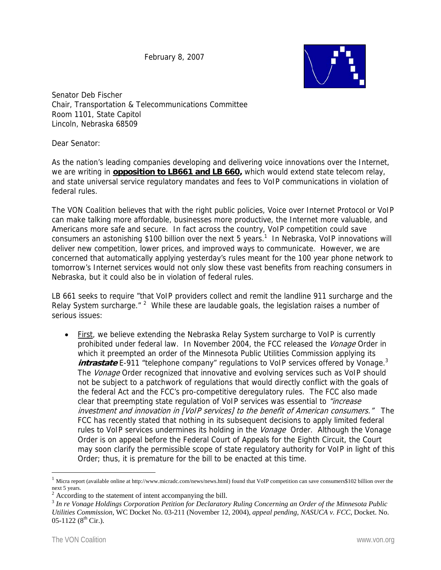February 8, 2007



Senator Deb Fischer Chair, Transportation & Telecommunications Committee Room 1101, State Capitol Lincoln, Nebraska 68509

Dear Senator:

As the nation's leading companies developing and delivering voice innovations over the Internet, we are writing in **opposition to LB661 and LB 660,** which would extend state telecom relay, and state universal service regulatory mandates and fees to VoIP communications in violation of federal rules.

The VON Coalition believes that with the right public policies, Voice over Internet Protocol or VoIP can make talking more affordable, businesses more productive, the Internet more valuable, and Americans more safe and secure. In fact across the country, VoIP competition could save consumers an astonishing \$100 billion over the next 5 years.<sup>1</sup> In Nebraska, VoIP innovations will deliver new competition, lower prices, and improved ways to communicate. However, we are concerned that automatically applying yesterday's rules meant for the 100 year phone network to tomorrow's Internet services would not only slow these vast benefits from reaching consumers in Nebraska, but it could also be in violation of federal rules.

LB 661 seeks to require "that VoIP providers collect and remit the landline 911 surcharge and the Relay System surcharge."  $2$  While these are laudable goals, the legislation raises a number of serious issues:

• First, we believe extending the Nebraska Relay System surcharge to VoIP is currently prohibited under federal law. In November 2004, the FCC released the Vonage Order in which it preempted an order of the Minnesota Public Utilities Commission applying its *intrastate* E-911 "telephone company" regulations to VoIP services offered by Vonage.<sup>3</sup> The *Vonage* Order recognized that innovative and evolving services such as VoIP should not be subject to a patchwork of regulations that would directly conflict with the goals of the federal Act and the FCC's pro-competitive deregulatory rules. The FCC also made clear that preempting state regulation of VoIP services was essential to "increase investment and innovation in [VoIP services] to the benefit of American consumers." The FCC has recently stated that nothing in its subsequent decisions to apply limited federal rules to VoIP services undermines its holding in the *Vonage* Order. Although the Vonage Order is on appeal before the Federal Court of Appeals for the Eighth Circuit, the Court may soon clarify the permissible scope of state regulatory authority for VoIP in light of this Order; thus, it is premature for the bill to be enacted at this time.

 $\overline{a}$ 

<sup>1</sup> Micra report (available online at http://www.micradc.com/news/news.html) found that VoIP competition can save consumers\$102 billion over the next 5 years.

 $2^{2}$  According to the statement of intent accompanying the bill.

<sup>3</sup> *In re Vonage Holdings Corporation Petition for Declaratory Ruling Concerning an Order of the Minnesota Public Utilities Commission*, WC Docket No. 03-211 (November 12, 2004), *appeal pending*, *NASUCA v. FCC*, Docket. No.  $05-1122$  ( $8^{th}$  Cir.).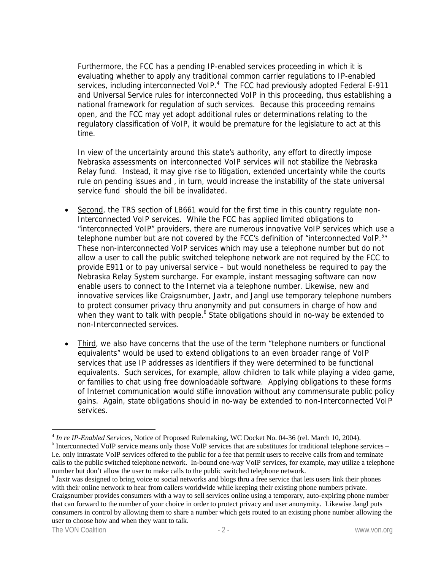Furthermore, the FCC has a pending IP-enabled services proceeding in which it is evaluating whether to apply any traditional common carrier regulations to IP-enabled services, including interconnected VoIP.<sup>4</sup> The FCC had previously adopted Federal E-911 and Universal Service rules for interconnected VoIP in this proceeding, thus establishing a national framework for regulation of such services. Because this proceeding remains open, and the FCC may yet adopt additional rules or determinations relating to the regulatory classification of VoIP, it would be premature for the legislature to act at this time.

In view of the uncertainty around this state's authority, any effort to directly impose Nebraska assessments on interconnected VoIP services will not stabilize the Nebraska Relay fund. Instead, it may give rise to litigation, extended uncertainty while the courts rule on pending issues and , in turn, would increase the instability of the state universal service fund should the bill be invalidated.

- Second, the TRS section of LB661 would for the first time in this country regulate non-Interconnected VoIP services. While the FCC has applied limited obligations to "interconnected VoIP" providers, there are numerous innovative VoIP services which use a telephone number but are not covered by the FCC's definition of "interconnected VoIP.<sup>5</sup>" These non-interconnected VoIP services which may use a telephone number but do not allow a user to call the public switched telephone network are not required by the FCC to provide E911 or to pay universal service – but would nonetheless be required to pay the Nebraska Relay System surcharge. For example, instant messaging software can now enable users to connect to the Internet via a telephone number. Likewise, new and innovative services like Craigsnumber, Jaxtr, and Jangl use temporary telephone numbers to protect consumer privacy thru anonymity and put consumers in charge of how and when they want to talk with people.<sup>6</sup> State obligations should in no-way be extended to non-Interconnected services.
- Third, we also have concerns that the use of the term "telephone numbers or functional equivalents" would be used to extend obligations to an even broader range of VoIP services that use IP addresses as identifiers if they were determined to be functional equivalents. Such services, for example, allow children to talk while playing a video game, or families to chat using free downloadable software. Applying obligations to these forms of Internet communication would stifle innovation without any commensurate public policy gains. Again, state obligations should in no-way be extended to non-Interconnected VoIP services.

 $\overline{a}$ 

<sup>&</sup>lt;sup>4</sup> In re IP-Enabled Services, Notice of Proposed Rulemaking, WC Docket No. 04-36 (rel. March 10, 2004).

<sup>&</sup>lt;sup>5</sup> Interconnected VoIP service means only those VoIP services that are substitutes for traditional telephone services – i.e. only intrastate VoIP services offered to the public for a fee that permit users to receive calls from and terminate calls to the public switched telephone network. In-bound one-way VoIP services, for example, may utilize a telephone number but don't allow the user to make calls to the public switched telephone network.

<sup>&</sup>lt;sup>6</sup> Jaxtr was designed to bring voice to social networks and blogs thru a free service that lets users link their phones with their online network to hear from callers worldwide while keeping their existing phone numbers private. Craigsnumber provides consumers with a way to sell services online using a temporary, auto-expiring phone number that can forward to the number of your choice in order to protect privacy and user anonymity. Likewise Jangl puts consumers in control by allowing them to share a number which gets routed to an existing phone number allowing the user to choose how and when they want to talk.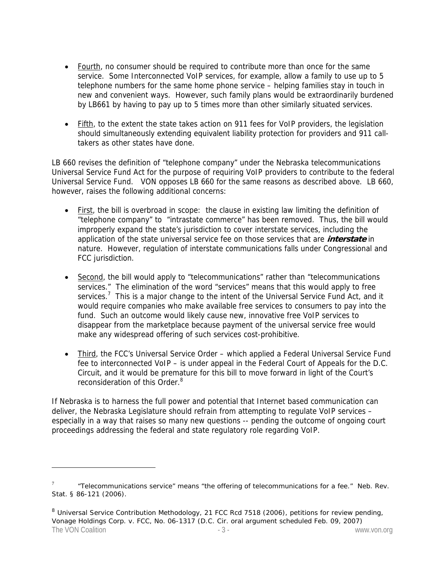- Fourth, no consumer should be required to contribute more than once for the same service. Some Interconnected VoIP services, for example, allow a family to use up to 5 telephone numbers for the same home phone service – helping families stay in touch in new and convenient ways. However, such family plans would be extraordinarily burdened by LB661 by having to pay up to 5 times more than other similarly situated services.
- Fifth, to the extent the state takes action on 911 fees for VoIP providers, the legislation should simultaneously extending equivalent liability protection for providers and 911 calltakers as other states have done.

LB 660 revises the definition of "telephone company" under the Nebraska telecommunications Universal Service Fund Act for the purpose of requiring VoIP providers to contribute to the federal Universal Service Fund. VON opposes LB 660 for the same reasons as described above. LB 660, however, raises the following additional concerns:

- First, the bill is overbroad in scope: the clause in existing law limiting the definition of "telephone company" to "intrastate commerce" has been removed. Thus, the bill would improperly expand the state's jurisdiction to cover interstate services, including the application of the state universal service fee on those services that are **interstate** in nature. However, regulation of interstate communications falls under Congressional and FCC jurisdiction.
- Second, the bill would apply to "telecommunications" rather than "telecommunications services." The elimination of the word "services" means that this would apply to free services.<sup>7</sup> This is a major change to the intent of the Universal Service Fund Act, and it would require companies who make available free services to consumers to pay into the fund. Such an outcome would likely cause new, innovative free VoIP services to disappear from the marketplace because payment of the universal service free would make any widespread offering of such services cost-prohibitive.
- Third, the FCC's Universal Service Order which applied a Federal Universal Service Fund fee to interconnected VoIP – is under appeal in the Federal Court of Appeals for the D.C. Circuit, and it would be premature for this bill to move forward in light of the Court's reconsideration of this Order.<sup>8</sup>

If Nebraska is to harness the full power and potential that Internet based communication can deliver, the Nebraska Legislature should refrain from attempting to regulate VoIP services – especially in a way that raises so many new questions -- pending the outcome of ongoing court proceedings addressing the federal and state regulatory role regarding VoIP.

 $\overline{a}$ 

<sup>7</sup> "Telecommunications service" means "the offering of telecommunications for a fee." Neb. Rev. Stat. § 86-121 (2006).

The VON Coalition **The VON Coalition** - 3 - The VON Coalition of the VON Coalition of the VON Coalition of the VON Coalition of the VON Coalition of the VON Coalition of the VON Coalition of the VON Coalition of the VON Co <sup>8</sup> *Universal Service Contribution Methodology*, 21 FCC Rcd 7518 (2006), *petitions for review pending, Vonage Holdings Corp. v. FCC*, No. 06-1317 (D.C. Cir. oral argument scheduled Feb. 09, 2007)